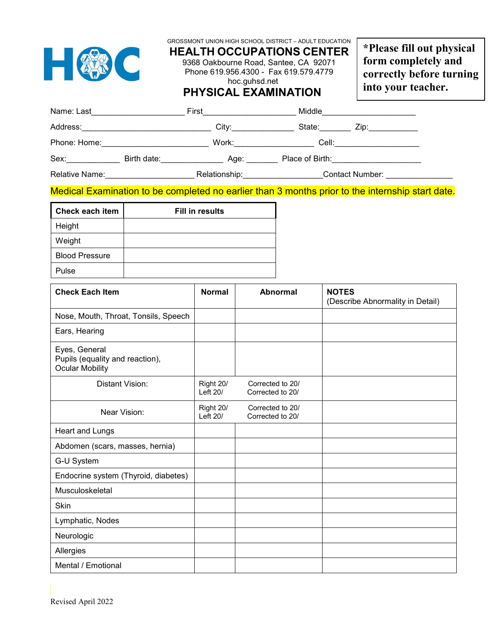|                                                                                                                |  | GROSSMONT UNION HIGH SCHOOL DISTRICT - ADULT EDUCATION<br><b>HEALTH OCCUPATIONS CENTER</b><br>9368 Oakbourne Road, Santee, CA 92071<br>Phone 619.956.4300 - Fax 619.579.4779<br><b>PHYSICAL EXAMINATION</b> | hoc.guhsd.net                        |  |                                                  | *Please fill out physical<br>form completely and<br>correctly before turning<br>into your teacher. |  |
|----------------------------------------------------------------------------------------------------------------|--|-------------------------------------------------------------------------------------------------------------------------------------------------------------------------------------------------------------|--------------------------------------|--|--------------------------------------------------|----------------------------------------------------------------------------------------------------|--|
| Name: Last_______________________________First_______________________________Middle___________________________ |  |                                                                                                                                                                                                             |                                      |  |                                                  |                                                                                                    |  |
|                                                                                                                |  |                                                                                                                                                                                                             |                                      |  |                                                  |                                                                                                    |  |
|                                                                                                                |  |                                                                                                                                                                                                             |                                      |  |                                                  |                                                                                                    |  |
|                                                                                                                |  |                                                                                                                                                                                                             |                                      |  |                                                  |                                                                                                    |  |
|                                                                                                                |  |                                                                                                                                                                                                             |                                      |  |                                                  |                                                                                                    |  |
|                                                                                                                |  |                                                                                                                                                                                                             |                                      |  |                                                  | Medical Examination to be completed no earlier than 3 months prior to the internship start date.   |  |
| Check each item                                                                                                |  | <b>Fill in results</b>                                                                                                                                                                                      |                                      |  |                                                  |                                                                                                    |  |
| Height                                                                                                         |  |                                                                                                                                                                                                             |                                      |  |                                                  |                                                                                                    |  |
| Weight                                                                                                         |  |                                                                                                                                                                                                             |                                      |  |                                                  |                                                                                                    |  |
| <b>Blood Pressure</b>                                                                                          |  |                                                                                                                                                                                                             |                                      |  |                                                  |                                                                                                    |  |
| Pulse                                                                                                          |  |                                                                                                                                                                                                             |                                      |  |                                                  |                                                                                                    |  |
| <b>Check Each Item</b>                                                                                         |  | <b>Normal</b>                                                                                                                                                                                               | <b>Abnormal</b>                      |  | <b>NOTES</b><br>(Describe Abnormality in Detail) |                                                                                                    |  |
| Nose, Mouth, Throat, Tonsils, Speech                                                                           |  |                                                                                                                                                                                                             |                                      |  |                                                  |                                                                                                    |  |
| Ears, Hearing                                                                                                  |  |                                                                                                                                                                                                             |                                      |  |                                                  |                                                                                                    |  |
| Eyes, General<br>Pupils (equality and reaction),<br><b>Ocular Mobility</b>                                     |  |                                                                                                                                                                                                             |                                      |  |                                                  |                                                                                                    |  |
| Distant Vision:                                                                                                |  | Right 20/<br>Left $20/$                                                                                                                                                                                     | Corrected to 20/<br>Corrected to 20/ |  |                                                  |                                                                                                    |  |
| Near Vision:                                                                                                   |  | Right 20/<br>Left 20/                                                                                                                                                                                       | Corrected to 20/<br>Corrected to 20/ |  |                                                  |                                                                                                    |  |
| Heart and Lungs                                                                                                |  |                                                                                                                                                                                                             |                                      |  |                                                  |                                                                                                    |  |
| Abdomen (scars, masses, hernia)                                                                                |  |                                                                                                                                                                                                             |                                      |  |                                                  |                                                                                                    |  |
| G-U System                                                                                                     |  |                                                                                                                                                                                                             |                                      |  |                                                  |                                                                                                    |  |
| Endocrine system (Thyroid, diabetes)                                                                           |  |                                                                                                                                                                                                             |                                      |  |                                                  |                                                                                                    |  |
| Musculoskeletal                                                                                                |  |                                                                                                                                                                                                             |                                      |  |                                                  |                                                                                                    |  |
| Skin                                                                                                           |  |                                                                                                                                                                                                             |                                      |  |                                                  |                                                                                                    |  |
| Lymphatic, Nodes                                                                                               |  |                                                                                                                                                                                                             |                                      |  |                                                  |                                                                                                    |  |
| Neurologic                                                                                                     |  |                                                                                                                                                                                                             |                                      |  |                                                  |                                                                                                    |  |
| Allergies                                                                                                      |  |                                                                                                                                                                                                             |                                      |  |                                                  |                                                                                                    |  |
| Mental / Emotional                                                                                             |  |                                                                                                                                                                                                             |                                      |  |                                                  |                                                                                                    |  |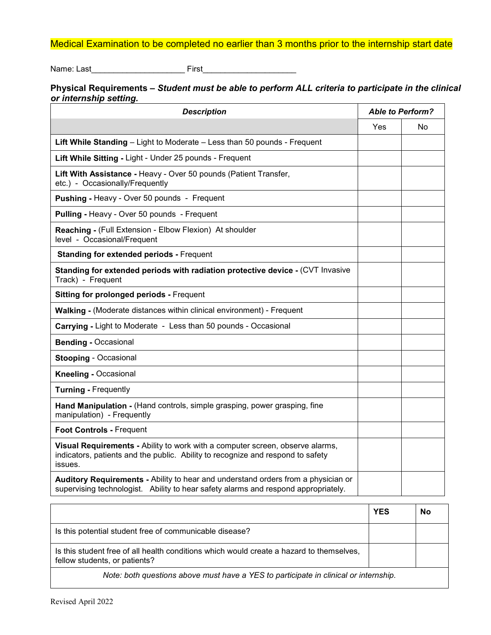## Medical Examination to be completed no earlier than 3 months prior to the internship start date

Name: Last\_\_\_\_\_\_\_\_\_\_\_\_\_\_\_\_\_\_\_\_\_ First\_\_\_\_\_\_\_\_\_\_\_\_\_\_\_\_\_\_\_\_\_

**Physical Requirements –** *Student must be able to perform ALL criteria to participate in the clinical or internship setting.*

| <b>Description</b>                                                                                                                                                          | <b>Able to Perform?</b> |    |
|-----------------------------------------------------------------------------------------------------------------------------------------------------------------------------|-------------------------|----|
|                                                                                                                                                                             | Yes                     | No |
| Lift While Standing - Light to Moderate - Less than 50 pounds - Frequent                                                                                                    |                         |    |
| Lift While Sitting - Light - Under 25 pounds - Frequent                                                                                                                     |                         |    |
| Lift With Assistance - Heavy - Over 50 pounds (Patient Transfer,<br>etc.) - Occasionally/Frequently                                                                         |                         |    |
| <b>Pushing - Heavy - Over 50 pounds - Frequent</b>                                                                                                                          |                         |    |
| Pulling - Heavy - Over 50 pounds - Frequent                                                                                                                                 |                         |    |
| Reaching - (Full Extension - Elbow Flexion) At shoulder<br>level - Occasional/Frequent                                                                                      |                         |    |
| <b>Standing for extended periods - Frequent</b>                                                                                                                             |                         |    |
| Standing for extended periods with radiation protective device - (CVT Invasive<br>Track) - Frequent                                                                         |                         |    |
| <b>Sitting for prolonged periods - Frequent</b>                                                                                                                             |                         |    |
| Walking - (Moderate distances within clinical environment) - Frequent                                                                                                       |                         |    |
| Carrying - Light to Moderate - Less than 50 pounds - Occasional                                                                                                             |                         |    |
| <b>Bending - Occasional</b>                                                                                                                                                 |                         |    |
| <b>Stooping - Occasional</b>                                                                                                                                                |                         |    |
| <b>Kneeling - Occasional</b>                                                                                                                                                |                         |    |
| <b>Turning - Frequently</b>                                                                                                                                                 |                         |    |
| Hand Manipulation - (Hand controls, simple grasping, power grasping, fine<br>manipulation) - Frequently                                                                     |                         |    |
| Foot Controls - Frequent                                                                                                                                                    |                         |    |
| Visual Requirements - Ability to work with a computer screen, observe alarms,<br>indicators, patients and the public. Ability to recognize and respond to safety<br>issues. |                         |    |
| Auditory Requirements - Ability to hear and understand orders from a physician or<br>supervising technologist. Ability to hear safety alarms and respond appropriately.     |                         |    |

|                                                                                                                           | <b>YES</b> | No |  |  |  |
|---------------------------------------------------------------------------------------------------------------------------|------------|----|--|--|--|
| Is this potential student free of communicable disease?                                                                   |            |    |  |  |  |
| Is this student free of all health conditions which would create a hazard to themselves,<br>fellow students, or patients? |            |    |  |  |  |
| Note: both questions above must have a YES to participate in clinical or internship.                                      |            |    |  |  |  |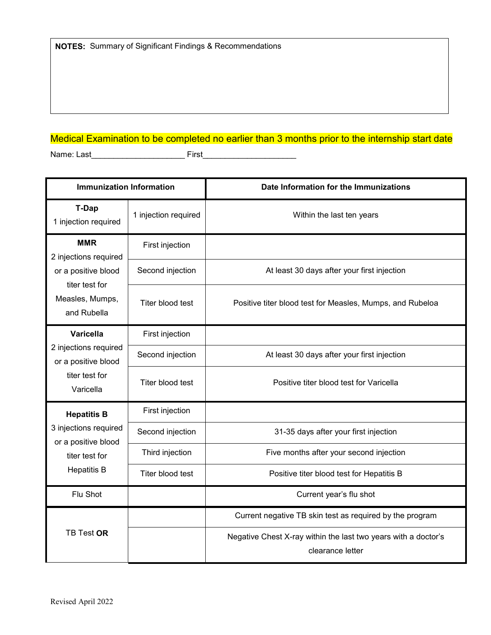## Medical Examination to be completed no earlier than 3 months prior to the internship start date

Name: Last First

**Immunization Information Date Information for the Immunizations T-Dap** 1 injection required 1 injection required Within the last ten years **MMR** 2 injections required or a positive blood titer test for Measles, Mumps, and Rubella First injection Second injection | At least 30 days after your first injection Titer blood test **Positive titer blood test for Measles, Mumps, and Rubeloa Varicella**  2 injections required or a positive blood titer test for Varicella First injection Second injection | At least 30 days after your first injection Titer blood test **Positive titer blood test for Varicella Hepatitis B**  3 injections required or a positive blood titer test for Hepatitis B First injection Second injection 31-35 days after your first injection Third injection | Five months after your second injection Titer blood test | Positive titer blood test for Hepatitis B Flu Shot Current year's flu shot TB Test **OR** Current negative TB skin test as required by the program Negative Chest X-ray within the last two years with a doctor's clearance letter